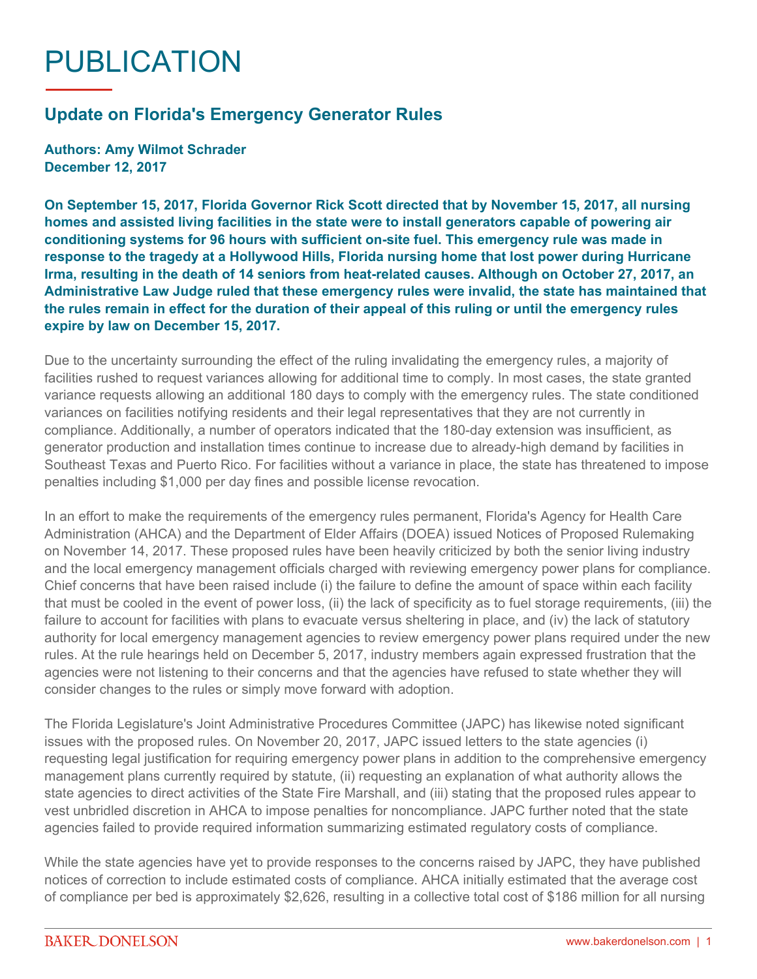## PUBLICATION

## **Update on Florida's Emergency Generator Rules**

**Authors: Amy Wilmot Schrader December 12, 2017**

**On September 15, 2017, Florida Governor Rick Scott directed that by November 15, 2017, all nursing homes and assisted living facilities in the state were to install generators capable of powering air conditioning systems for 96 hours with sufficient on-site fuel. This emergency rule was made in response to the tragedy at a Hollywood Hills, Florida nursing home that lost power during Hurricane Irma, resulting in the death of 14 seniors from heat-related causes. Although on October 27, 2017, an Administrative Law Judge ruled that these emergency rules were invalid, the state has maintained that the rules remain in effect for the duration of their appeal of this ruling or until the emergency rules expire by law on December 15, 2017.**

Due to the uncertainty surrounding the effect of the ruling invalidating the emergency rules, a majority of facilities rushed to request variances allowing for additional time to comply. In most cases, the state granted variance requests allowing an additional 180 days to comply with the emergency rules. The state conditioned variances on facilities notifying residents and their legal representatives that they are not currently in compliance. Additionally, a number of operators indicated that the 180-day extension was insufficient, as generator production and installation times continue to increase due to already-high demand by facilities in Southeast Texas and Puerto Rico. For facilities without a variance in place, the state has threatened to impose penalties including \$1,000 per day fines and possible license revocation.

In an effort to make the requirements of the emergency rules permanent, Florida's Agency for Health Care Administration (AHCA) and the Department of Elder Affairs (DOEA) issued Notices of Proposed Rulemaking on November 14, 2017. These proposed rules have been heavily criticized by both the senior living industry and the local emergency management officials charged with reviewing emergency power plans for compliance. Chief concerns that have been raised include (i) the failure to define the amount of space within each facility that must be cooled in the event of power loss, (ii) the lack of specificity as to fuel storage requirements, (iii) the failure to account for facilities with plans to evacuate versus sheltering in place, and (iv) the lack of statutory authority for local emergency management agencies to review emergency power plans required under the new rules. At the rule hearings held on December 5, 2017, industry members again expressed frustration that the agencies were not listening to their concerns and that the agencies have refused to state whether they will consider changes to the rules or simply move forward with adoption.

The Florida Legislature's Joint Administrative Procedures Committee (JAPC) has likewise noted significant issues with the proposed rules. On November 20, 2017, JAPC issued letters to the state agencies (i) requesting legal justification for requiring emergency power plans in addition to the comprehensive emergency management plans currently required by statute, (ii) requesting an explanation of what authority allows the state agencies to direct activities of the State Fire Marshall, and (iii) stating that the proposed rules appear to vest unbridled discretion in AHCA to impose penalties for noncompliance. JAPC further noted that the state agencies failed to provide required information summarizing estimated regulatory costs of compliance.

While the state agencies have yet to provide responses to the concerns raised by JAPC, they have published notices of correction to include estimated costs of compliance. AHCA initially estimated that the average cost of compliance per bed is approximately \$2,626, resulting in a collective total cost of \$186 million for all nursing